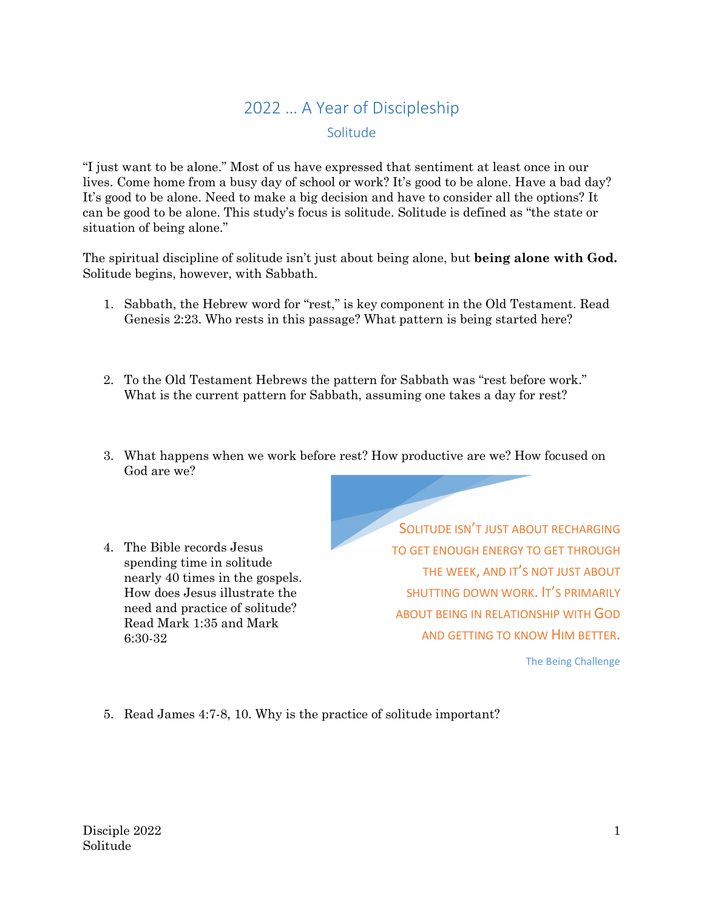## 2022 … A Year of Discipleship Solitude

"I just want to be alone." Most of us have expressed that sentiment at least once in our lives. Come home from a busy day of school or work? It's good to be alone. Have a bad day? It's good to be alone. Need to make a big decision and have to consider all the options? It can be good to be alone. This study's focus is solitude. Solitude is defined as "the state or situation of being alone."

The spiritual discipline of solitude isn't just about being alone, but **being alone with God.** Solitude begins, however, with Sabbath.

- 1. Sabbath, the Hebrew word for "rest," is key component in the Old Testament. Read Genesis 2:23. Who rests in this passage? What pattern is being started here?
- 2. To the Old Testament Hebrews the pattern for Sabbath was "rest before work." What is the current pattern for Sabbath, assuming one takes a day for rest?
- 3. What happens when we work before rest? How productive are we? How focused on God are we?
- 4. The Bible records Jesus spending time in solitude nearly 40 times in the gospels. How does Jesus illustrate the need and practice of solitude? Read Mark 1:35 and Mark 6:30-32

SOLITUDE ISN'T JUST ABOUT RECHARGING TO GET ENOUGH ENERGY TO GET THROUGH THE WEEK, AND IT'S NOT JUST ABOUT SHUTTING DOWN WORK. IT'S PRIMARILY ABOUT BEING IN RELATIONSHIP WITH GOD AND GETTING TO KNOW HIM BETTER.

The Being Challenge

5. Read James 4:7-8, 10. Why is the practice of solitude important?